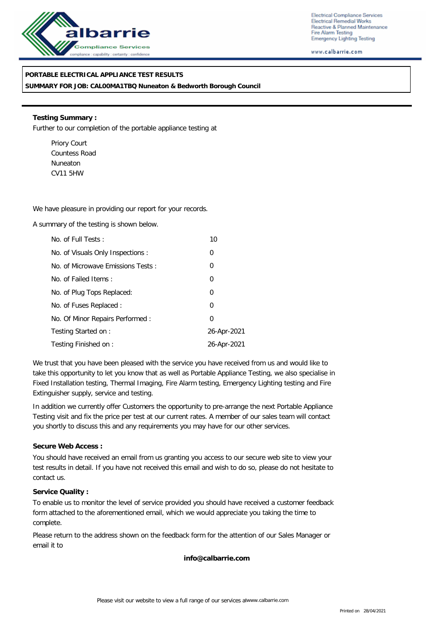

Electrical Compliance Services Electrical Remedial Works Reactive & Planned Maintenance Fire Alarm Testing Emergency Lighting Testing

www.calbarrie.com

## **PORTABLE ELECTRICAL APPLIANCE TEST RESULTS**

**SUMMARY FOR JOB: CAL00MA1TBQ Nuneaton & Bedworth Borough Council**

**Testing Summary :** Further to our completion of the portable appliance testing at

Priory Court Countess Road Nuneaton CV11 5HW

We have pleasure in providing our report for your records.

A summary of the testing is shown below.

| No. of Full Tests:                | 10             |
|-----------------------------------|----------------|
| No. of Visuals Only Inspections : | 0              |
| No. of Microwave Emissions Tests: | 0              |
| No. of Failed Items:              | $\overline{0}$ |
| No. of Plug Tops Replaced:        | $\overline{0}$ |
| No. of Fuses Replaced:            | 0              |
| No. Of Minor Repairs Performed:   | $\Omega$       |
| Testing Started on:               | 26-Apr-2021    |
| Testing Finished on:              | 26-Apr-2021    |

We trust that you have been pleased with the service you have received from us and would like to take this opportunity to let you know that as well as Portable Appliance Testing, we also specialise in Fixed Installation testing, Thermal Imaging, Fire Alarm testing, Emergency Lighting testing and Fire Extinguisher supply, service and testing.

In addition we currently offer Customers the opportunity to pre-arrange the next Portable Appliance Testing visit and fix the price per test at our current rates. A member of our sales team will contact you shortly to discuss this and any requirements you may have for our other services.

### **Secure Web Access :**

You should have received an email from us granting you access to our secure web site to view your test results in detail. If you have not received this email and wish to do so, please do not hesitate to contact us.

#### **Service Quality :**

To enable us to monitor the level of service provided you should have received a customer feedback form attached to the aforementioned email, which we would appreciate you taking the time to complete.

Please return to the address shown on the feedback form for the attention of our Sales Manager or email it to

**info@calbarrie.com**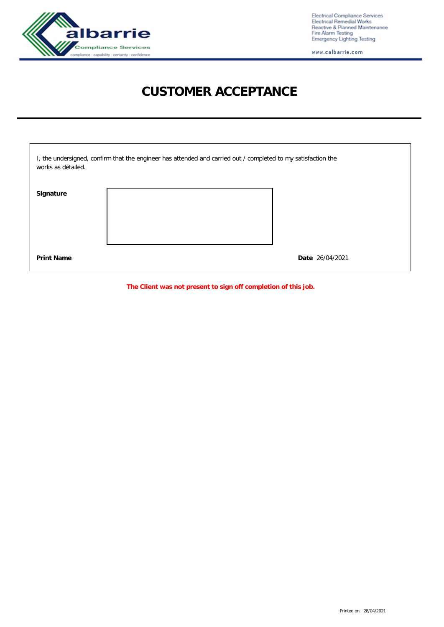

Electrical Compliance Services<br>Electrical Remedial Works<br>Reactive & Planned Maintenance<br>Fire Alarm Testing<br>Emergency Lighting Testing

www.calbarrie.com

# **CUSTOMER ACCEPTANCE**

| I, the undersigned, confirm that the engineer has attended and carried out / completed to my satisfaction the<br>works as detailed. |  |                 |  |  |  |
|-------------------------------------------------------------------------------------------------------------------------------------|--|-----------------|--|--|--|
| Signature                                                                                                                           |  |                 |  |  |  |
| <b>Print Name</b>                                                                                                                   |  | Date 26/04/2021 |  |  |  |

**The Client was not present to sign off completion of this job.**